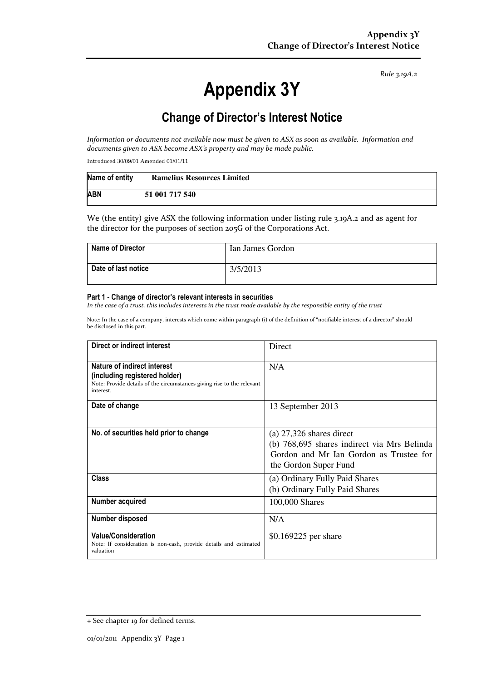Rule 3.19A.2

# Appendix 3Y

# Change of Director's Interest Notice

Information or documents not available now must be given to ASX as soon as available. Information and documents given to ASX become ASX's property and may be made public.

Introduced 30/09/01 Amended 01/01/11

| Name of entity | <b>Ramelius Resources Limited</b> |
|----------------|-----------------------------------|
| <b>ABN</b>     | 51 001 717 540                    |

We (the entity) give ASX the following information under listing rule 3.19A.2 and as agent for the director for the purposes of section 205G of the Corporations Act.

| <b>Name of Director</b> | Ian James Gordon |
|-------------------------|------------------|
| Date of last notice     | 3/5/2013         |

#### Part 1 - Change of director's relevant interests in securities

In the case of a trust, this includes interests in the trust made available by the responsible entity of the trust

Note: In the case of a company, interests which come within paragraph (i) of the definition of "notifiable interest of a director" should be disclosed in this part.

| Direct or indirect interest                                                                                                                         | Direct                                                                                                                                        |  |
|-----------------------------------------------------------------------------------------------------------------------------------------------------|-----------------------------------------------------------------------------------------------------------------------------------------------|--|
| Nature of indirect interest<br>(including registered holder)<br>Note: Provide details of the circumstances giving rise to the relevant<br>interest. | N/A                                                                                                                                           |  |
| Date of change                                                                                                                                      | 13 September 2013                                                                                                                             |  |
| No. of securities held prior to change                                                                                                              | (a) $27,326$ shares direct<br>(b) 768,695 shares indirect via Mrs Belinda<br>Gordon and Mr Ian Gordon as Trustee for<br>the Gordon Super Fund |  |
| <b>Class</b>                                                                                                                                        | (a) Ordinary Fully Paid Shares<br>(b) Ordinary Fully Paid Shares                                                                              |  |
| Number acquired                                                                                                                                     | 100,000 Shares                                                                                                                                |  |
| Number disposed                                                                                                                                     | N/A                                                                                                                                           |  |
| <b>Value/Consideration</b><br>Note: If consideration is non-cash, provide details and estimated<br>valuation                                        | \$0.169225 per share                                                                                                                          |  |

<sup>+</sup> See chapter 19 for defined terms.